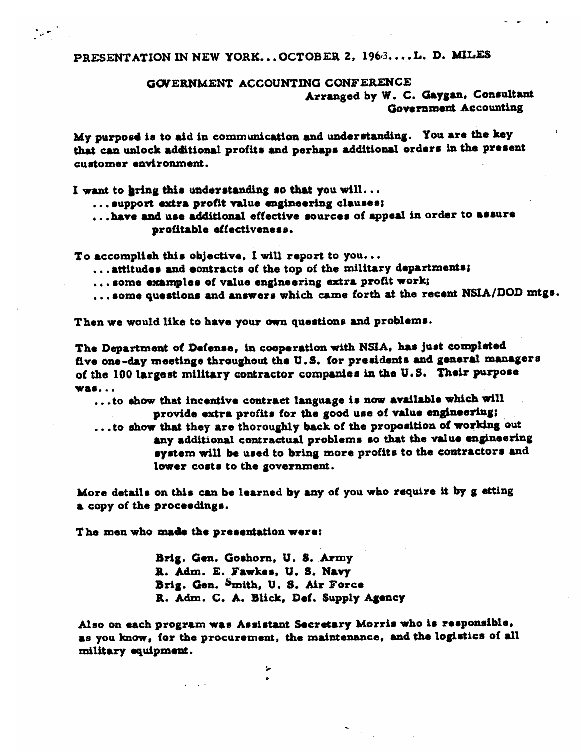## GOVERNMENT ACCOUNTING CONFERENCE

Arranged by W. C. Gaygan, Consultant Government Accounting

My purpose is to aid in communication and understanding. You are the key that can unlock additional profits and perhaps additional orders in the present customer environment.

I want to gring this understanding so that you will...

... support extra profit value engineering clauses;

... have and use additional effective sources of appeal in order to assure profitable effectiveness.

To accomplish this objective, I will report to you...

- ... attitudes and contracts of the top of the military departments;
- ... some examples of value engineering extra profit work;
- ...some questions and answers which came forth at the recent NSIA/DOD mtgs.

Then we would like to have your own questions and problems.

The Department of Defense, in cooperation with NSIA, has just completed five one-day meetings throughout the U.S. for presidents and general managers of the 100 largest military contractor companies in the U.S. Their purpose was...

...to show that incentive contract language is now available which will provide extra profits for the good use of value engineering; ... to show that they are thoroughly back of the proposition of working out any additional contractual problems so that the value engineering system will be used to bring more profits to the contractors and

lower costs to the government.

More details on this can be learned by any of you who require it by g etting a copy of the proceedings.

The men who made the presentation were:

Brig. Gen. Goshorn, U. S. Army R. Adm. E. Fawkes, U. S. Navy Brig. Gen. Smith, U. S. Air Force R. Adm. C. A. Blick, Def. Supply Agency

 $\overline{\phantom{a}}$ 

Also on each program was Assistant Secretary Morris who is responsible, as you know, for the procurement, the maintenance, and the logistics of all military equipment.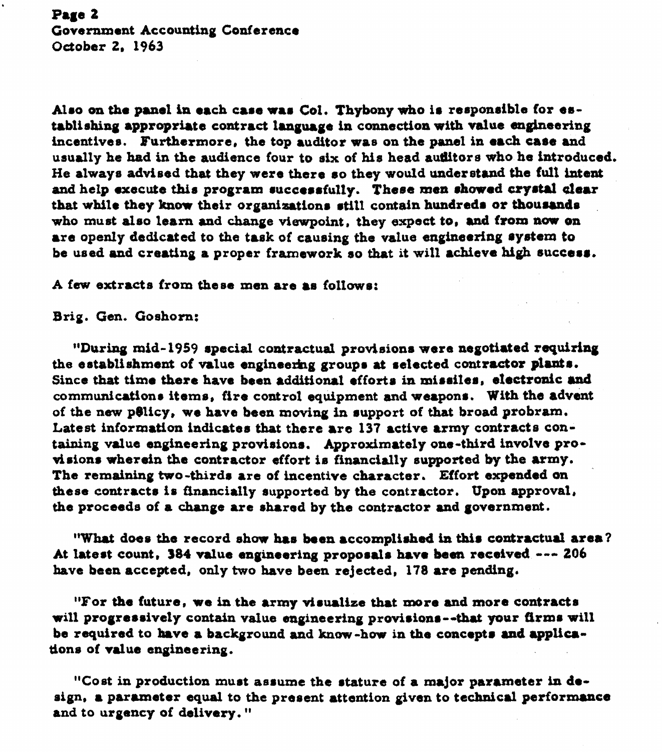# Page 2 Government Accounting Conference October 2. 1963

Also on the panel in each case was Col. Thybony who is responsible for establishing appropriate contract language in connection with value engineering incentives. Furthermore, the top auditor was on the panel in each case and usually he had in the audience four to six of his head auditors who he introduced. He always advised that they were there so they would understand the full intent and help execute this program successfully. These men showed crystal clear that while they know their organizations still contain hundreds or thousands who must also learn and change viewpoint, they expect to, and from now on are openly dedicated to the task of causing the value engineering system to be used and creating a proper framework so that it will achieve high success.

A few extracts from these men are as follows:

Brig. Gen. Goshorn:

"During mid-1959 special contractual provisions were negotiated requiring the establishment of value engineering groups at selected contractor plants. Since that time there have been additional efforts in missiles, electronic and communications items, fire control equipment and weapons. With the advent of the new policy, we have been moving in support of that broad probram. Latest information indicates that there are 137 active army contracts containing value engineering provisions. Approximately one-third involve provisions wherein the contractor effort is financially supported by the army. The remaining two-thirds are of incentive character. Effort expended on these contracts is financially supported by the contractor. Upon approval, the proceeds of a change are shared by the contractor and government.

"What does the record show has been accomplished in this contractual area? At latest count, 384 value engineering proposals have been received --- 206 have been accepted, only two have been rejected. 178 are pending.

"For the future, we in the army visualize that more and more contracts will progressively contain value engineering provisions--that your firms will be required to have a background and know-how in the concepts and applications of value engineering.

"Cost in production must assume the stature of a major parameter in design, a parameter equal to the present attention given to technical performance and to urgency of delivery."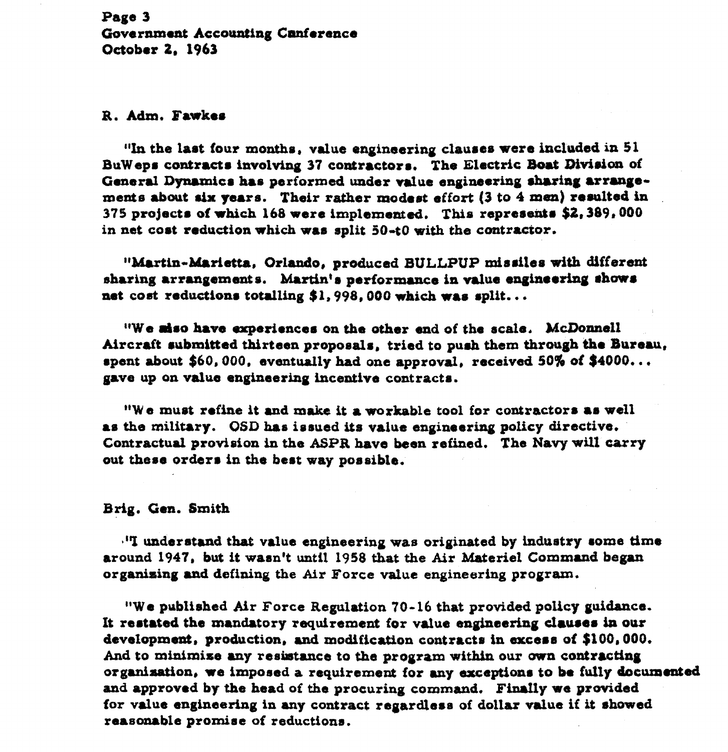Page 3 Government Accounting Canference October 2, 1963

### R. Adm. Fawkes

"In the last four months, value engineering clauses were included in 51 BuWeps contracts involving 37 contractors. The Electric Boat Division of General Dynamics has performed under value engineering sharing arrangements about six years. Their rather modest effort (3 to 4 men) resulted in 375 projects of which 168 were implemented. This represents \$2,389,000 in net cost reduction which was split 50-t0 with the contractor.

"Martin-Marietta, Orlando, produced BULLPUP missiles with different sharing arrangements. Martin's performance in value engineering shows net cost reductions totalling \$1,998.000 which was split...

**"We miso have experiences on the other end of the scale. McDonnell** Aircraft submitted thirteen proposals, tried to push them through the Bureau, **repent about \$60,000, eventually had one approval, received 50% of \$4000...**<br>gave up on value engineering incentive contracts.

**r'W a muot refine it and make it a workable tool for contractoras as well rs tho military. OSD bs is rued its valua engineariag policy directive. Contractual provision in the ASP% h.ve been refined. The Navy will wry out thasa order. in the beat way possible.** 

#### **Brig. Gm. Smith**

 $\cdot$ <sup>1</sup>T understand that value engineering was originated by industry some time **around 1947, but it wasn't until 1958 that the Air M.terisl Commrad began orgadsing and defining the Air Borce due engineering program.** 

**"We published Air Force Beplation 70-16 that provided policy guidance-**It restated the mandatory requirement for value engineering clauses in our **developmeat, production, and modification contracts in axce.8 of \$100,000.**  And to minimize any resistance to the program within our own contracting organization, we imposed a requirement for any exceptions to be fully documented and approved by the head of the procuring command. Finally we provided **for vdua engineering in any contract ragardamii of dollar due if it ~howed reasonable promiae of reductioaa.**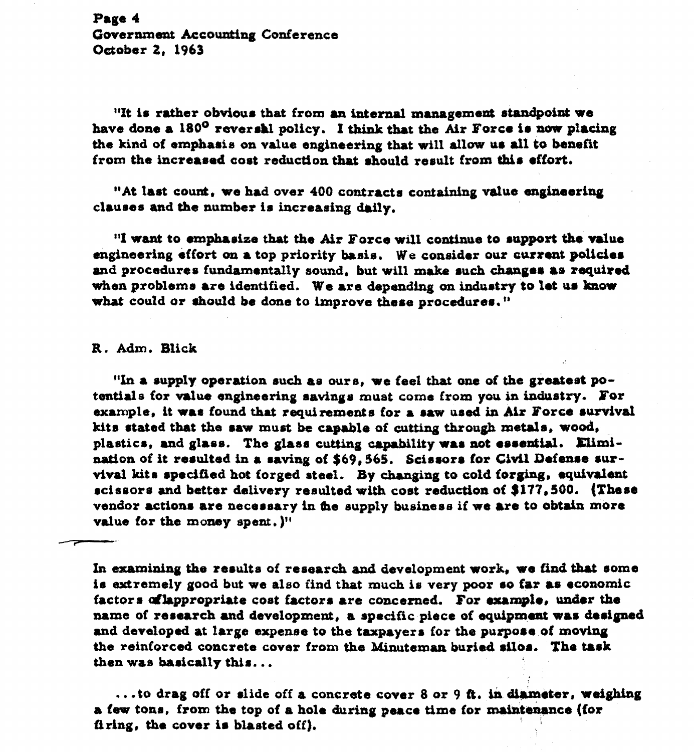Page 4 Government Accounting Conference October 2, 1963

"It is rather obvious that from an internal management standpoint we have done a 180° reversal policy. I think that the Air Force is now placing the kind of emphasis on value engineering that will allow us all to benefit from the increased cost reduction that should result from this effort.

"At last count, we had over 400 contracts containing value engineering clauses and the number is increasing daily.

"I want to emphasize that the Air Force will continue to support the value engineering effort on a top priority basis. We consider our current policies and procedures fundamentally sound, but will make such changes as required when problems are identified. We are depending on industry to let us know what could or should be done to improve these procedures."

### R. Adm. Blick

"In a supply operation such as ours, we feel that one of the greatest potentials for value engineering savings must come from you in industry. For example, it was found that requirements for a saw used in Air Force survival kits stated that the saw must be capable of cutting through metals, wood, plastics, and glass. The glass cutting capability was not essential. Elimination of it resulted in a saving of \$69,565. Scissors for Civil Defense survival kits specified hot forged steel. By changing to cold forging, equivalent scissors and better delivery resulted with cost reduction of \$177,500. (These vendor actions are necessary in the supply business if we are to obtain more value for the money spent, )"

In examining the results of research and development work, we find that some is extremely good but we also find that much is very poor so far as economic factors of lappropriate cost factors are concerned. For example, under the name of research and development, a specific piece of equipment was designed and developed at large expense to the taxpayers for the purpose of moving the reinforced concrete cover from the Minuteman buried silos. The task then was basically this...

...to drag off or slide off a concrete cover 8 or 9 ft. in diameter, weighing a few tons, from the top of a hole during peace time for maintenance (for firing, the cover is blasted off).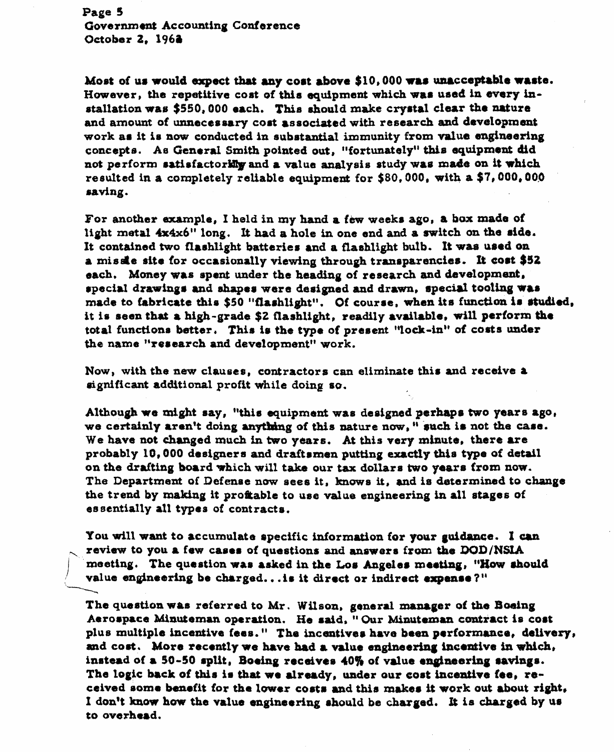Page 5 Government Accounting Conference October 2, 1962

Most of us would expect that any cost above \$10,000 was unacceptable waste. However, the repetitive cost of this equipment which was used in every installation was \$550,000 each. This should make crystal clear the nature and amount of unnecessary cost associated with research and development work as it is now conducted in substantial immunity from value engineering concepts. As General Smith pointed out, "fortunately" this equipment did not perform satisfactorilly and a value analysis study was made on it which resulted in a completely reliable equipment for \$80.000, with a \$7,000,000 saving.

For another example, I held in my hand a few weeks ago, a box made of light metal 4x4x6" long. It had a hole in one end and a switch on the side. It contained two flashlight batteries and a flashlight bulb. It was used on a missie site for occasionally viewing through transparencies. It cost \$52 each. Money was spent under the heading of research and development. special drawings and shapes were designed and drawn, special tooling was made to fabricate this \$50 "flashlight". Of course, when its function is studied, it is seen that a high-grade \$2 flashlight, readily available, will perform the total functions better. This is the type of present "lock-in" of costs under the name "research and development" work.

Now, with the new clauses, contractors can eliminate this and receive a significant additional profit while doing so.

Although we might say. "this equipment was designed perhaps two years ago, we certainly aren't doing anything of this nature now," such is not the case. We have not changed much in two years. At this very minute, there are probably 10,000 designers and draftsmen putting exactly this type of detail on the drafting board which will take our tax dollars two years from now. The Department of Defense now sees it, knows it, and is determined to change the trend by making it profiable to use value engineering in all stages of essentially all types of contracts.

You will want to accumulate specific information for your guidance. I can review to you a few cases of questions and answers from the DOD/NSIA meeting. The question was asked in the Los Angeles meeting, "How should value engineering be charged... is it direct or indirect expense?"

The question was referred to Mr. Wilson, general manager of the Boeing Aerospace Minuteman operation. He said, "Our Minuteman contract is cost plus multiple incentive fees." The incentives have been performance, delivery, and cost. More recently we have had a value engineering incentive in which, instead of a 50-50 split, Boeing receives 40% of value engineering savings. The logic back of this is that we already, under our cost incentive fee, received some benefit for the lower costs and this makes it work out about right. I don't know how the value engineering should be charged. It is charged by us to overhead.